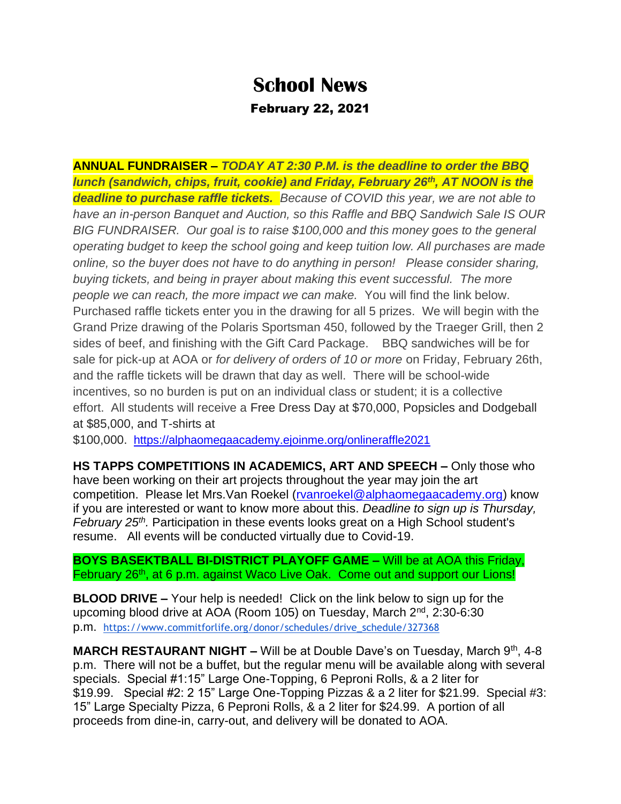## **School News**

## February 22, 2021

**ANNUAL FUNDRAISER –** *TODAY AT 2:30 P.M. is the deadline to order the BBQ lunch (sandwich, chips, fruit, cookie) and Friday, February 26th, AT NOON is the deadline to purchase raffle tickets. Because of COVID this year, we are not able to have an in-person Banquet and Auction, so this Raffle and BBQ Sandwich Sale IS OUR BIG FUNDRAISER. Our goal is to raise \$100,000 and this money goes to the general operating budget to keep the school going and keep tuition low. All purchases are made online, so the buyer does not have to do anything in person! Please consider sharing, buying tickets, and being in prayer about making this event successful. The more people we can reach, the more impact we can make.* You will find the link below. Purchased raffle tickets enter you in the drawing for all 5 prizes. We will begin with the Grand Prize drawing of the Polaris Sportsman 450, followed by the Traeger Grill, then 2 sides of beef, and finishing with the Gift Card Package. BBQ sandwiches will be for sale for pick-up at AOA or *for delivery of orders of 10 or more* on Friday, February 26th, and the raffle tickets will be drawn that day as well. There will be school-wide incentives, so no burden is put on an individual class or student; it is a collective effort. All students will receive a Free Dress Day at \$70,000, Popsicles and Dodgeball at \$85,000, and T-shirts at

\$100,000. <https://alphaomegaacademy.ejoinme.org/onlineraffle2021>

**HS TAPPS COMPETITIONS IN ACADEMICS, ART AND SPEECH –** Only those who have been working on their art projects throughout the year may join the art competition. Please let Mrs.Van Roekel [\(rvanroekel@alphaomegaacademy.org\)](mailto:rvanroekel@alphaomegaacademy.org) know if you are interested or want to know more about this. *Deadline to sign up is Thursday, February 25th .* Participation in these events looks great on a High School student's resume. All events will be conducted virtually due to Covid-19.

**BOYS BASEKTBALL BI-DISTRICT PLAYOFF GAME –** Will be at AOA this Friday, February 26<sup>th</sup>, at 6 p.m. against Waco Live Oak. Come out and support our Lions!

**BLOOD DRIVE –** Your help is needed! Click on the link below to sign up for the upcoming blood drive at AOA (Room 105) on Tuesday, March 2<sup>nd</sup>, 2:30-6:30 p.m. [https://www.commitforlife.org/donor/schedules/drive\\_schedule/327368](https://www.commitforlife.org/donor/schedules/drive_schedule/327368)

**MARCH RESTAURANT NIGHT –** Will be at Double Dave's on Tuesday, March 9<sup>th</sup>, 4-8 p.m. There will not be a buffet, but the regular menu will be available along with several specials. Special #1:15" Large One-Topping, 6 Peproni Rolls, & a 2 liter for \$19.99. Special #2: 2 15" Large One-Topping Pizzas & a 2 liter for \$21.99. Special #3: 15" Large Specialty Pizza, 6 Peproni Rolls, & a 2 liter for \$24.99. A portion of all proceeds from dine-in, carry-out, and delivery will be donated to AOA.